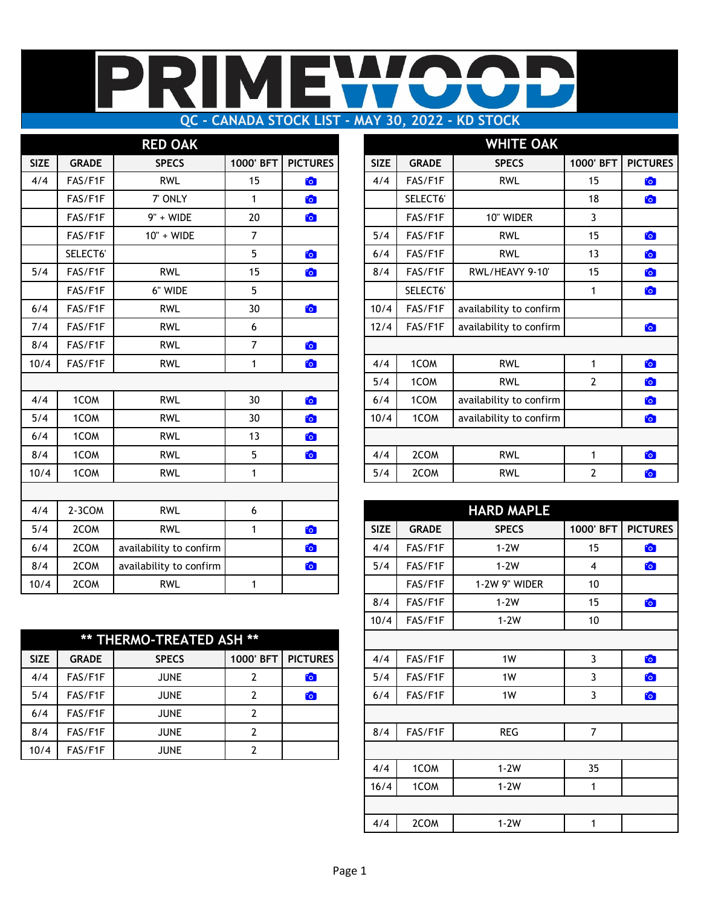# **QC - CANADA STOCK LIST - MAY 30, 2022 - KD STOCK**

|             |              | <b>RED OAK</b>          |                |                 |             |              | <b>WHITE OAK</b>        |                |                 |
|-------------|--------------|-------------------------|----------------|-----------------|-------------|--------------|-------------------------|----------------|-----------------|
| <b>SIZE</b> | <b>GRADE</b> | <b>SPECS</b>            | 1000' BFT      | <b>PICTURES</b> | <b>SIZE</b> | <b>GRADE</b> | <b>SPECS</b>            | 1000' BFT      | <b>PICTURES</b> |
| 4/4         | FAS/F1F      | <b>RWL</b>              | 15             | $\bullet$       | 4/4         | FAS/F1F      | <b>RWL</b>              | 15             | <b>CO</b>       |
|             | FAS/F1F      | 7' ONLY                 | $\mathbf{1}$   | $\bullet$       |             | SELECT6'     |                         | 18             | <b>io</b>       |
|             | FAS/F1F      | 9" + WIDE               | 20             | $\bullet$       |             | FAS/F1F      | 10" WIDER               | 3              |                 |
|             | FAS/F1F      | 10" + WIDE              | $\overline{7}$ |                 | 5/4         | FAS/F1F      | <b>RWL</b>              | 15             | O               |
|             | SELECT6'     |                         | 5              | $\bullet$       | 6/4         | FAS/F1F      | <b>RWL</b>              | 13             | <b>C</b>        |
| 5/4         | FAS/F1F      | <b>RWL</b>              | 15             | $\bullet$       | 8/4         | FAS/F1F      | RWL/HEAVY 9-10'         | 15             | O               |
|             | FAS/F1F      | 6" WIDE                 | 5              |                 |             | SELECT6'     |                         | $\mathbf{1}$   | O               |
| 6/4         | FAS/F1F      | <b>RWL</b>              | 30             | <b>Fo</b>       | 10/4        | FAS/F1F      | availability to confirm |                |                 |
| 7/4         | FAS/F1F      | <b>RWL</b>              | 6              |                 | 12/4        | FAS/F1F      | availability to confirm |                | to              |
| 8/4         | FAS/F1F      | <b>RWL</b>              | $\overline{7}$ | to              |             |              |                         |                |                 |
| 10/4        | FAS/F1F      | <b>RWL</b>              | $\mathbf{1}$   | $\bullet$       | 4/4         | 1COM         | <b>RWL</b>              | $\mathbf{1}$   | <b>io</b>       |
|             |              |                         |                |                 | 5/4         | 1COM         | <b>RWL</b>              | $\overline{2}$ | <b>io</b>       |
| 4/4         | 1COM         | <b>RWL</b>              | 30             | $\bullet$       | 6/4         | 1COM         | availability to confirm |                | O               |
| 5/4         | 1COM         | <b>RWL</b>              | 30             | $\bullet$       | 10/4        | 1COM         | availability to confirm |                | <b>C</b>        |
| 6/4         | 1COM         | <b>RWL</b>              | 13             | $\bullet$       |             |              |                         |                |                 |
| 8/4         | 1COM         | <b>RWL</b>              | 5              | $\bullet$       | 4/4         | 2COM         | <b>RWL</b>              | $\mathbf{1}$   | <b>io</b>       |
| 10/4        | 1COM         | <b>RWL</b>              | $\mathbf{1}$   |                 | 5/4         | 2COM         | <b>RWL</b>              | $\mathbf{2}$   | <b>C</b>        |
|             |              |                         |                |                 |             |              |                         |                |                 |
| 4/4         | 2-3COM       | <b>RWL</b>              | 6              |                 |             |              | <b>HARD MAPLE</b>       |                |                 |
| 5/4         | 2COM         | <b>RWL</b>              | $\mathbf{1}$   | <b>C</b>        | <b>SIZE</b> | <b>GRADE</b> | <b>SPECS</b>            | 1000' BFT      | <b>PICTURES</b> |
| 6/4         | 2COM         | availability to confirm |                | $\bullet$       | 4/4         | FAS/F1F      | $1-2W$                  | 15             | <b>C</b>        |
| 8/4         | 2COM         | availability to confirm |                | $\bullet$       | 5/4         | FAS/F1F      | $1-2W$                  | $\overline{4}$ | <b>C</b>        |
| 10/4        | 2COM         | <b>RWL</b>              | $\mathbf{1}$   |                 |             | FAS/F1F      | 1-2W 9" WIDER           | 10             |                 |

|             | ** THERMO-TREATED ASH ** |              |           |                 |  |  |  |
|-------------|--------------------------|--------------|-----------|-----------------|--|--|--|
| <b>SIZE</b> | <b>GRADE</b>             | <b>SPECS</b> | 1000' BFT | <b>PICTURES</b> |  |  |  |
| 4/4         | FAS/F1F                  | <b>JUNE</b>  |           | $\mathbf{C}$    |  |  |  |
| 5/4         | FAS/F1F                  | <b>JUNE</b>  |           | $\bullet$       |  |  |  |
| 6/4         | FAS/F1F                  | <b>JUNE</b>  |           |                 |  |  |  |
| 8/4         | FAS/F1F                  | <b>JUNE</b>  |           |                 |  |  |  |
| 10/4        | FAS/F1F                  | <b>JUNE</b>  |           |                 |  |  |  |

|              | <b>RED OAK</b> |           |                 |             |              | <b>WHITE OAK</b>        |                |                 |
|--------------|----------------|-----------|-----------------|-------------|--------------|-------------------------|----------------|-----------------|
| <b>GRADE</b> | <b>SPECS</b>   | 1000' BFT | <b>PICTURES</b> | <b>SIZE</b> | <b>GRADE</b> | <b>SPECS</b>            | 1000' BFT      | <b>PICTURES</b> |
| FAS/F1F      | <b>RWL</b>     | 15        | $\bullet$       | 4/4         | FAS/F1F      | <b>RWL</b>              | 15             | <b>CO</b>       |
| FAS/F1F      | 7' ONLY        | 1         | $\bullet$       |             | SELECT6'     |                         | 18             | <b>C</b>        |
| FAS/F1F      | 9" + WIDE      | 20        | $\bullet$       |             | FAS/F1F      | 10" WIDER               | 3              |                 |
| FAS/F1F      | 10" + WIDE     | 7         |                 | 5/4         | FAS/F1F      | <b>RWL</b>              | 15             | O               |
| SELECT6'     |                | 5         | $\bullet$       | 6/4         | FAS/F1F      | <b>RWL</b>              | 13             | $\bullet$       |
| FAS/F1F      | <b>RWL</b>     | 15        | $\bullet$       | 8/4         | FAS/F1F      | RWL/HEAVY 9-10'         | 15             | <b>C</b>        |
| FAS/F1F      | 6" WIDE        | 5         |                 |             | SELECT6'     |                         | $\mathbf{1}$   | <b>C</b>        |
| FAS/F1F      | <b>RWL</b>     | 30        | $\bullet$       | 10/4        | FAS/F1F      | availability to confirm |                |                 |
| FAS/F1F      | <b>RWL</b>     | 6         |                 | 12/4        | FAS/F1F      | availability to confirm |                | $\bullet$       |
| FAS/F1F      | <b>RWL</b>     | 7         | $\bullet$       |             |              |                         |                |                 |
| FAS/F1F      | <b>RWL</b>     | 1         | $\bullet$       | 4/4         | 1COM         | <b>RWL</b>              | 1              | O               |
|              |                |           |                 | 5/4         | 1COM         | <b>RWL</b>              | $\overline{2}$ | $\bullet$       |
| 1COM         | <b>RWL</b>     | 30        | $\bullet$       | 6/4         | 1COM         | availability to confirm |                | $\bullet$       |
| 1COM         | <b>RWL</b>     | 30        | $\bullet$       | 10/4        | 1COM         | availability to confirm |                | $\bullet$       |
| 1COM         | <b>RWL</b>     | 13        | $\bullet$       |             |              |                         |                |                 |
| 1COM         | <b>RWL</b>     | 5         | $\bullet$       | 4/4         | 2COM         | <b>RWL</b>              | 1              | $\bullet$       |
| 1COM         | <b>RWL</b>     | 1         |                 | 5/4         | 2COM         | <b>RWL</b>              | 2              | $\bullet$       |

|              |                         | 1                        | <b>Fo</b>                     |         |                                                                                                            |                                   | <b>PICTURES</b> |
|--------------|-------------------------|--------------------------|-------------------------------|---------|------------------------------------------------------------------------------------------------------------|-----------------------------------|-----------------|
| 2COM         | availability to confirm |                          | <b>Fo</b>                     | FAS/F1F | $1-2W$                                                                                                     | 15                                | $\bullet$       |
| 2COM         | availability to confirm |                          | $\bullet$                     | FAS/F1F | $1-2W$                                                                                                     | 4                                 | <b>io</b>       |
| 2COM         | <b>RWL</b>              | 1                        |                               | FAS/F1F | 1-2W 9" WIDER                                                                                              | 10                                |                 |
|              |                         |                          |                               | FAS/F1F | $1-2W$                                                                                                     | 15                                | <b>C</b>        |
|              |                         |                          |                               | FAS/F1F | $1-2W$                                                                                                     | 10                                |                 |
|              |                         |                          |                               |         |                                                                                                            |                                   |                 |
| <b>GRADE</b> | <b>SPECS</b>            | 1000' BFT                | <b>PICTURES</b>               | FAS/F1F | 1W                                                                                                         | 3                                 | $\bullet$       |
| FAS/F1F      | <b>JUNE</b>             | 2                        | <b>Fo</b>                     | FAS/F1F | 1W                                                                                                         | 3                                 | $\bullet$       |
| FAS/F1F      | <b>JUNE</b>             | 2                        | <b>CO</b>                     | FAS/F1F | 1W                                                                                                         | 3                                 | <b>io</b>       |
| FAS/F1F      | <b>JUNE</b>             | 2                        |                               |         |                                                                                                            |                                   |                 |
| FAS/F1F      | <b>JUNE</b>             | 2                        |                               | FAS/F1F | <b>REG</b>                                                                                                 | 7                                 |                 |
| FAS/F1F      | <b>JUNE</b>             | 2                        |                               |         |                                                                                                            |                                   |                 |
|              |                         |                          |                               | 1COM    | $1-2W$                                                                                                     | 35                                |                 |
|              |                         |                          |                               | 1COM    | $1-2W$                                                                                                     | 1                                 |                 |
|              |                         |                          |                               |         |                                                                                                            |                                   |                 |
|              |                         |                          |                               | 2COM    | $1-2W$                                                                                                     | 1                                 |                 |
|              | $2-3COM$<br>2COM        | <b>RWL</b><br><b>RWL</b> | 6<br>** THERMO-TREATED ASH ** |         | <b>SIZE</b><br><b>GRADE</b><br>4/4<br>5/4<br>8/4<br>10/4<br>4/4<br>5/4<br>6/4<br>8/4<br>4/4<br>16/4<br>4/4 | <b>HARD MAPLE</b><br><b>SPECS</b> | 1000' BFT       |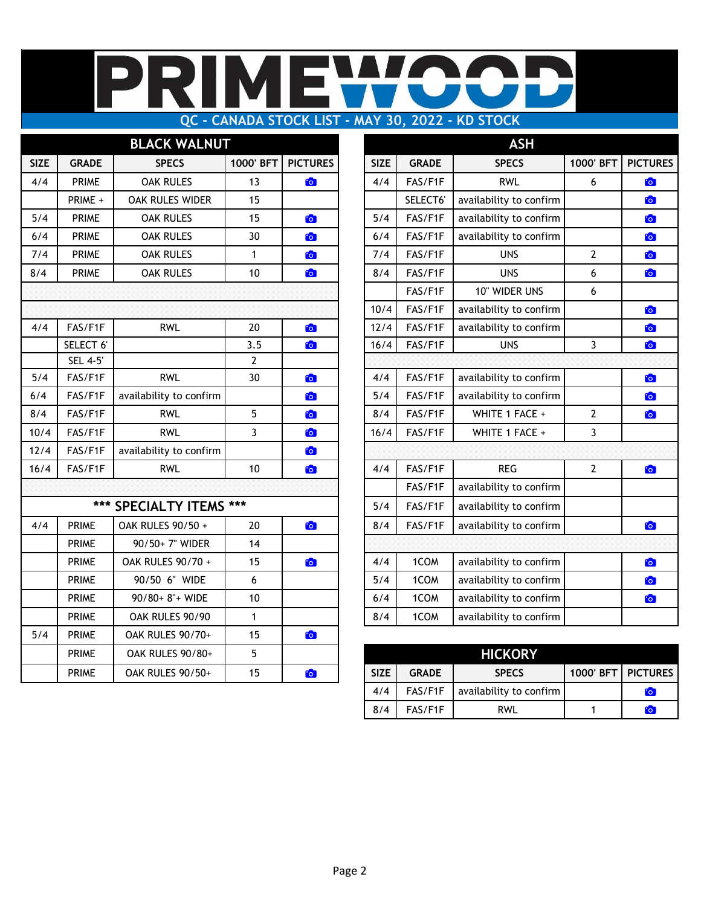### MI ╟ E Π **QC - CANADA STOCK LIST - MAY 30, 2022 - KD STOCK**

|             |                | <b>BLACK WALNUT</b>     |                |                 |             |              | <b>ASH</b>              |                   |              |
|-------------|----------------|-------------------------|----------------|-----------------|-------------|--------------|-------------------------|-------------------|--------------|
| <b>SIZE</b> | <b>GRADE</b>   | <b>SPECS</b>            | 1000' BFT      | <b>PICTURES</b> | <b>SIZE</b> | <b>GRADE</b> | <b>SPECS</b>            | 1000' BFT         | <b>PICTU</b> |
| 4/4         | <b>PRIME</b>   | <b>OAK RULES</b>        | 13             | <b>For</b>      | 4/4         | FAS/F1F      | <b>RWL</b>              | 6                 | to           |
|             | PRIME +        | OAK RULES WIDER         | 15             |                 |             | SELECT6'     | availability to confirm |                   | to           |
| 5/4         | <b>PRIME</b>   | <b>OAK RULES</b>        | 15             | to              | 5/4         | FAS/F1F      | availability to confirm |                   | <b>io</b>    |
| 6/4         | <b>PRIME</b>   | <b>OAK RULES</b>        | 30             | O               | 6/4         | FAS/F1F      | availability to confirm |                   | <b>io</b>    |
| 7/4         | <b>PRIME</b>   | <b>OAK RULES</b>        | $\mathbf{1}$   | to <sub>1</sub> | 7/4         | FAS/F1F      | <b>UNS</b>              | $\mathbf{2}$      | <b>io</b>    |
| 8/4         | <b>PRIME</b>   | <b>OAK RULES</b>        | 10             | $\bullet$       | 8/4         | FAS/F1F      | <b>UNS</b>              | 6                 | to           |
|             |                |                         |                |                 |             | FAS/F1F      | 10" WIDER UNS           | 6                 |              |
|             |                |                         |                |                 | 10/4        | FAS/F1F      | availability to confirm |                   | O            |
| 4/4         | FAS/F1F        | <b>RWL</b>              | 20             | $\bullet$       | 12/4        | FAS/F1F      | availability to confirm |                   | <b>io</b>    |
|             | SELECT 6'      |                         | 3.5            | to              | 16/4        | FAS/F1F      | <b>UNS</b>              | 3                 | O            |
|             | <b>SEL 4-5</b> |                         | $\overline{2}$ |                 |             |              |                         |                   |              |
| 5/4         | FAS/F1F        | <b>RWL</b>              | 30             | O               | 4/4         | FAS/F1F      | availability to confirm |                   | O            |
| 6/4         | FAS/F1F        | availability to confirm |                | to              | 5/4         | FAS/F1F      | availability to confirm |                   | to           |
| 8/4         | FAS/F1F        | <b>RWL</b>              | 5              | O               | 8/4         | FAS/F1F      | WHITE 1 FACE +          | $\mathbf 2$       | <b>io</b>    |
| 10/4        | FAS/F1F        | <b>RWL</b>              | 3              | O               | 16/4        | FAS/F1F      | WHITE 1 FACE +          | 3                 |              |
| 12/4        | FAS/F1F        | availability to confirm |                | $\bullet$       |             |              |                         |                   |              |
| 16/4        | FAS/F1F        | <b>RWL</b>              | 10             | O               | 4/4         | FAS/F1F      | <b>REG</b>              | $\overline{2}$    | <b>io</b>    |
|             |                |                         |                |                 |             | FAS/F1F      | availability to confirm |                   |              |
|             |                | *** SPECIALTY ITEMS *** |                |                 | 5/4         | FAS/F1F      | availability to confirm |                   |              |
| 4/4         | <b>PRIME</b>   | OAK RULES 90/50 +       | 20             | O               | 8/4         | FAS/F1F      | availability to confirm |                   | to           |
|             | <b>PRIME</b>   | 90/50+7" WIDER          | 14             |                 |             |              |                         |                   |              |
|             | <b>PRIME</b>   | OAK RULES 90/70 +       | 15             | $\bullet$       | 4/4         | 1COM         | availability to confirm |                   | O            |
|             | <b>PRIME</b>   | 90/50 6" WIDE           | 6              |                 | 5/4         | 1COM         | availability to confirm |                   | to           |
|             | <b>PRIME</b>   | 90/80+ 8"+ WIDE         | 10             |                 | 6/4         | 1COM         | availability to confirm |                   | to           |
|             | <b>PRIME</b>   | OAK RULES 90/90         | $\mathbf{1}$   |                 | 8/4         | 1COM         | availability to confirm |                   |              |
| 5/4         | <b>PRIME</b>   | OAK RULES 90/70+        | 15             | $\bullet$       |             |              |                         |                   |              |
|             | <b>PRIME</b>   | OAK RULES 90/80+        | 5              |                 |             |              | <b>HICKORY</b>          |                   |              |
|             | <b>PRIME</b>   | OAK RULES 90/50+        | 15             | O               | <b>SIZE</b> | <b>GRADE</b> | <b>SPECS</b>            | 1000' BFT   PICTU |              |

|             |                 | <b>BLACK WALNUT</b>     |                |                 |             |              | <b>ASH</b>              |                |                 |
|-------------|-----------------|-------------------------|----------------|-----------------|-------------|--------------|-------------------------|----------------|-----------------|
| <b>SIZE</b> | <b>GRADE</b>    | <b>SPECS</b>            | 1000' BFT      | <b>PICTURES</b> | <b>SIZE</b> | <b>GRADE</b> | <b>SPECS</b>            | 1000' BFT      | <b>PICTURES</b> |
| 4/4         | <b>PRIME</b>    | <b>OAK RULES</b>        | 13             | <b>CO</b>       | 4/4         | FAS/F1F      | <b>RWL</b>              | 6              | $\bullet$       |
|             | PRIME +         | OAK RULES WIDER         | 15             |                 |             | SELECT6'     | availability to confirm |                | $\bullet$       |
| 5/4         | <b>PRIME</b>    | <b>OAK RULES</b>        | 15             | <b>Co</b>       | 5/4         | FAS/F1F      | availability to confirm |                | $\bullet$       |
| 6/4         | <b>PRIME</b>    | <b>OAK RULES</b>        | 30             | $\bullet$       | 6/4         | FAS/F1F      | availability to confirm |                | $\bullet$       |
| 7/4         | <b>PRIME</b>    | <b>OAK RULES</b>        | 1              | <b>CO</b>       | 7/4         | FAS/F1F      | <b>UNS</b>              | 2              | $\bullet$       |
| 8/4         | <b>PRIME</b>    | <b>OAK RULES</b>        | 10             | $\bullet$       | 8/4         | FAS/F1F      | <b>UNS</b>              | 6              | $\bullet$       |
|             |                 |                         |                |                 |             | FAS/F1F      | 10" WIDER UNS           | 6              |                 |
|             |                 |                         |                |                 | 10/4        | FAS/F1F      | availability to confirm |                | $\bullet$       |
| 4/4         | FAS/F1F         | <b>RWL</b>              | 20             | <b>CO</b>       | 12/4        | FAS/F1F      | availability to confirm |                | $\bullet$       |
|             | SELECT 6'       |                         | 3.5            | $\bullet$       | 16/4        | FAS/F1F      | <b>UNS</b>              | 3              | $\bullet$       |
|             | <b>SEL 4-5'</b> |                         | $\overline{2}$ |                 |             |              |                         |                |                 |
| 5/4         | FAS/F1F         | <b>RWL</b>              | 30             | $\bullet$       | 4/4         | FAS/F1F      | availability to confirm |                | $\bullet$       |
| 6/4         | FAS/F1F         | availability to confirm |                | $\bullet$       | 5/4         | FAS/F1F      | availability to confirm |                | $\bullet$       |
| 8/4         | FAS/F1F         | <b>RWL</b>              | 5              | <b>CO</b>       | 8/4         | FAS/F1F      | WHITE 1 FACE +          | $\mathbf{2}$   | $\bullet$       |
| 10/4        | FAS/F1F         | <b>RWL</b>              | $\overline{3}$ | $\bullet$       | 16/4        | FAS/F1F      | WHITE 1 FACE +          | 3              |                 |
| 12/4        | FAS/F1F         | availability to confirm |                | <b>CO</b>       |             |              |                         |                |                 |
| 16/4        | FAS/F1F         | <b>RWL</b>              | 10             | $\bullet$       | 4/4         | FAS/F1F      | <b>REG</b>              | $\overline{2}$ | $\bullet$       |
|             |                 |                         |                |                 |             | FAS/F1F      | availability to confirm |                |                 |
|             |                 | *** SPECIALTY ITEMS *** |                |                 | 5/4         | FAS/F1F      | availability to confirm |                |                 |
| 4/4         | <b>PRIME</b>    | OAK RULES 90/50 +       | 20             | $\bullet$       | 8/4         | FAS/F1F      | availability to confirm |                | $\bullet$       |
|             | <b>PRIME</b>    | 90/50+7" WIDER          | 14             |                 |             |              |                         |                |                 |
|             | <b>PRIME</b>    | OAK RULES 90/70 +       | 15             | $\bullet$       | 4/4         | 1COM         | availability to confirm |                | $\bullet$       |
|             | <b>PRIME</b>    | 90/50 6" WIDE           | 6              |                 | 5/4         | 1COM         | availability to confirm |                | $\bullet$       |
|             | <b>PRIME</b>    | 90/80+ 8"+ WIDE         | $10$           |                 | 6/4         | 1COM         | availability to confirm |                | $\bullet$       |
|             | <b>PRIME</b>    | OAK RULES 90/90         | 1              |                 | 8/4         | 1COM         | availability to confirm |                |                 |

| <b>PRIME</b> | OAK RULES 90/80+ |    |            |             |              | <b>HICKORY</b>          |           |                 |
|--------------|------------------|----|------------|-------------|--------------|-------------------------|-----------|-----------------|
| <b>PRIME</b> | OAK RULES 90/50+ | 15 | $^{\circ}$ | <b>SIZE</b> | <b>GRADE</b> | <b>SPECS</b>            | 1000' BFT | <b>PICTURES</b> |
|              |                  |    |            | 4/4         | FAS/F1F      | availability to confirm |           | <b>CO</b>       |
|              |                  |    |            | 8/4         | FAS/F1F      | <b>RWL</b>              |           | $\mathbf{C}$    |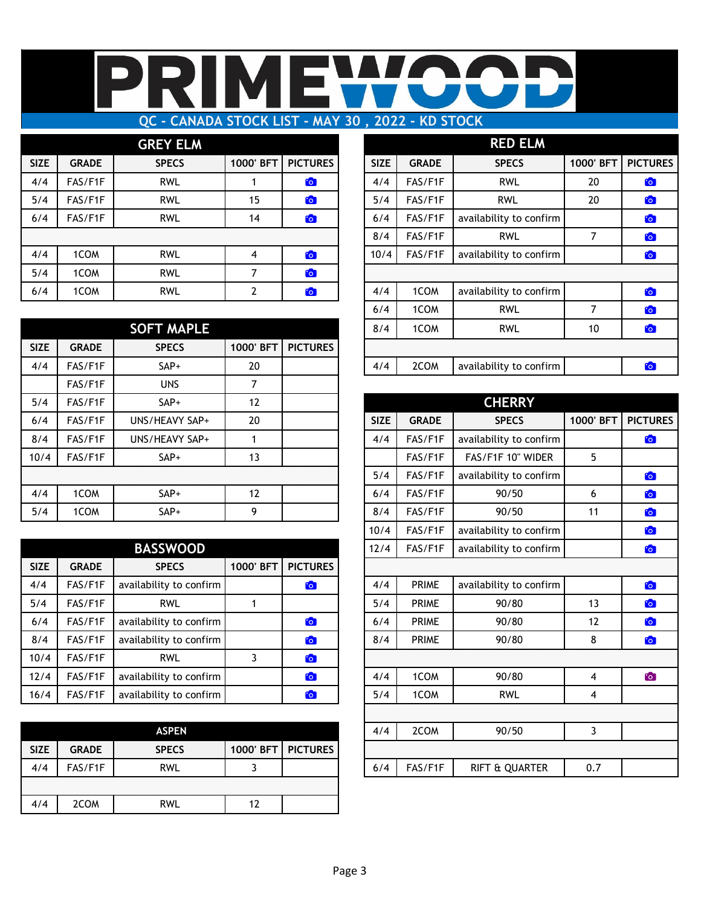## M **QC - CANADA STOCK LIST - MAY 30 , 2022 - KD STOCK**

## **GREY ELM**

| <b>SIZE</b> | <b>GRADE</b> | <b>SPECS</b> | 1000' BFT | <b>PICTURES</b> | <b>SIZE</b> | <b>GRADE</b> | <b>SPECS</b>            | 1000' BFT | <b>PICTURES</b> |
|-------------|--------------|--------------|-----------|-----------------|-------------|--------------|-------------------------|-----------|-----------------|
| 4/4         | FAS/F1F      | <b>RWL</b>   |           | $\mathbf{C}$    | 4/4         | FAS/F1F      | <b>RWL</b>              | 20        | $\mathbf{C}$    |
| 5/4         | FAS/F1F      | <b>RWL</b>   | 15        | <b>io</b>       | 5/4         | FAS/F1F      | <b>RWL</b>              | 20        | to <sub>1</sub> |
| 6/4         | FAS/F1F      | <b>RWL</b>   | 14        | $\bullet$       | 6/4         | FAS/F1F      | availability to confirm |           | $\ddot{\circ}$  |
|             |              |              |           |                 | 8/4         | FAS/F1F      | <b>RWL</b>              |           | <u>°</u>        |
| 4/4         | 1COM         | <b>RWL</b>   | 4         | <b>CO</b>       | 10/4        | FAS/F1F      | availability to confirm |           | $\mathbf{C}$    |
| 5/4         | 1COM         | <b>RWL</b>   |           | $\ddot{\circ}$  |             |              |                         |           |                 |
| 6/4         | 1COM         | <b>RWL</b>   |           | <b>CO</b>       | 4/4         | 1COM         | availability to confirm |           | $\ddot{\circ}$  |

|             |              | <b>SOFT MAPLE</b> |           |                 | 8/4         | 1COM         | <b>RWL</b>              | 10        |  |
|-------------|--------------|-------------------|-----------|-----------------|-------------|--------------|-------------------------|-----------|--|
| <b>SIZE</b> | <b>GRADE</b> | <b>SPECS</b>      | 1000' BFT | <b>PICTURES</b> |             |              |                         |           |  |
| 4/4         | FAS/F1F      | $SAP+$            | 20        |                 | 4/4         | 2COM         | availability to confirm |           |  |
|             | FAS/F1F      | <b>UNS</b>        |           |                 |             |              |                         |           |  |
| 5/4         | FAS/F1F      | SAP+              | 12        |                 |             |              | <b>CHERRY</b>           |           |  |
| 6/4         | FAS/F1F      | UNS/HEAVY SAP+    | 20        |                 | <b>SIZE</b> | <b>GRADE</b> | <b>SPECS</b>            | 1000' BFT |  |
| 8/4         | FAS/F1F      | UNS/HEAVY SAP+    |           |                 | 4/4         | FAS/F1F      | availability to confirm |           |  |
| 10/4        | FAS/F1F      | SAP+              | 13        |                 |             | FAS/F1F      | FAS/F1F 10" WIDER       | 5         |  |
|             |              |                   |           |                 | 5/4         | FAS/F1F      | availability to confirm |           |  |
| 4/4         | 1COM         | $SAP+$            | 12        |                 | 6/4         | FAS/F1F      | 90/50                   | 6         |  |
| 5/4         | 1COM         | SAP+              | 9         |                 | 8/4         | FAS/F1F      | 90/50                   | 11        |  |
|             |              |                   |           |                 |             |              |                         |           |  |

| availability to confirm | FAS/F1F      | 12/4 |                 |           | <b>BASSWOOD</b>         |              |             |
|-------------------------|--------------|------|-----------------|-----------|-------------------------|--------------|-------------|
|                         |              |      | <b>PICTURES</b> | 1000' BFT | <b>SPECS</b>            | <b>GRADE</b> | <b>SIZE</b> |
| availability to confirm | <b>PRIME</b> | 4/4  | $\mathbf{C}$    |           | availability to confirm | FAS/F1F      | 4/4         |
| 90/80                   | <b>PRIME</b> | 5/4  |                 |           | <b>RWL</b>              | FAS/F1F      | 5/4         |
| 90/80                   | <b>PRIME</b> | 6/4  | $\mathbf{G}$    |           | availability to confirm | FAS/F1F      | 6/4         |
| 90/80                   | <b>PRIME</b> | 8/4  | $\bullet$       |           | availability to confirm | FAS/F1F      | 8/4         |
|                         |              |      | $\bullet$       | 3         | <b>RWL</b>              | FAS/F1F      | 10/4        |
| 90/80                   | 1COM         | 4/4  | <b>C</b>        |           | availability to confirm | FAS/F1F      | 12/4        |
| <b>RWL</b>              | 1COM         | 5/4  | <b>C</b>        |           | availability to confirm | FAS/F1F      | 16/4        |

|             |              | <b>ASPEN</b> |                      | 4/4 | 2COM    | 90750                 |  |
|-------------|--------------|--------------|----------------------|-----|---------|-----------------------|--|
| <b>SIZE</b> | <b>GRADE</b> | <b>SPECS</b> | 1000' BFT   PICTURES |     |         |                       |  |
|             | FAS/F1F      | <b>RWL</b>   |                      | 6/4 | FAS/F1F | <b>UARTER</b><br>& Ol |  |
|             |              |              |                      |     |         |                       |  |
| 4/4         | 2COM         | rwl          |                      |     |         |                       |  |

| <b>GREY ELM</b>   |                |                 |             |              | <b>RED ELM</b>          |           |                 |
|-------------------|----------------|-----------------|-------------|--------------|-------------------------|-----------|-----------------|
| <b>SPECS</b>      | 1000' BFT      | <b>PICTURES</b> | <b>SIZE</b> | <b>GRADE</b> | <b>SPECS</b>            | 1000' BFT | <b>PICTURES</b> |
| <b>RWL</b>        |                | $\mathbf{c}$    | 4/4         | FAS/F1F      | <b>RWL</b>              | 20        | $\bullet$       |
| <b>RWL</b>        | 15             | O               | 5/4         | FAS/F1F      | <b>RWL</b>              | 20        | $\bullet$       |
| <b>RWL</b>        | 14             | $\bullet$       | 6/4         | FAS/F1F      | availability to confirm |           | $\bullet$       |
|                   |                |                 | 8/4         | FAS/F1F      | <b>RWL</b>              | 7         | $\mathbf{G}$    |
| <b>RWL</b>        | 4              | $\bullet$       | 10/4        | FAS/F1F      | availability to confirm |           | $\bullet$       |
| <b>RWL</b>        | 7              | $\bullet$       |             |              |                         |           |                 |
| <b>RWL</b>        | $\overline{2}$ | $\bullet$       | 4/4         | 1COM         | availability to confirm |           | <b>CO</b>       |
|                   |                |                 | 6/4         | 1COM         | <b>RWL</b>              | 7         | $\bullet$       |
| <b>SOFT MAPLE</b> |                |                 | 8/4         | 1COM         | <b>RWL</b>              | 10        | $\bullet$       |
| <b>SPECS</b>      | 1000' BFT      | <b>PICTURES</b> |             |              |                         |           |                 |
| $SAP+$            | 20             |                 | 4/4         | 2COM         | availability to confirm |           | $\mathbf{G}$    |
|                   |                |                 |             |              |                         |           |                 |

| 5/4  | FAS/F1F      | $SAP+$                  | 12        |                 |             |              | <b>CHERRY</b>           |           |                 |
|------|--------------|-------------------------|-----------|-----------------|-------------|--------------|-------------------------|-----------|-----------------|
| 6/4  | FAS/F1F      | UNS/HEAVY SAP+          | 20        |                 | <b>SIZE</b> | <b>GRADE</b> | <b>SPECS</b>            | 1000' BFT | <b>PICTURES</b> |
| 8/4  | FAS/F1F      | UNS/HEAVY SAP+          | 1         |                 | 4/4         | FAS/F1F      | availability to confirm |           | $\bullet$       |
| 10/4 | FAS/F1F      | SAP+                    | 13        |                 |             | FAS/F1F      | FAS/F1F 10" WIDER       | 5         |                 |
|      |              |                         |           |                 | 5/4         | FAS/F1F      | availability to confirm |           | $\bullet$       |
| 4/4  | 1COM         | SAP+                    | 12        |                 | 6/4         | FAS/F1F      | 90/50                   | 6         | $\bullet$       |
| 5/4  | 1COM         | SAP+                    | 9         |                 | 8/4         | FAS/F1F      | 90/50                   | 11        | <b>io</b>       |
|      |              |                         |           |                 | 10/4        | FAS/F1F      | availability to confirm |           | $\bullet$       |
|      |              | <b>BASSWOOD</b>         |           |                 | 12/4        | FAS/F1F      | availability to confirm |           | $\bullet$       |
| SIZE | <b>GRADE</b> | <b>SPECS</b>            | 1000' BFT | <b>PICTURES</b> |             |              |                         |           |                 |
| 4/4  | FAS/F1F      | availability to confirm |           | <b>Fo</b>       | 4/4         | <b>PRIME</b> | availability to confirm |           | $\bullet$       |
| 5/4  | FAS/F1F      | <b>RWL</b>              | 1         |                 | 5/4         | <b>PRIME</b> | 90/80                   | 13        | $\bullet$       |
| 6/4  | FAS/F1F      | availability to confirm |           | <b>Fo</b>       | 6/4         | <b>PRIME</b> | 90/80                   | 12        | $\bullet$       |
| 8/4  | FAS/F1F      | availability to confirm |           | <b>Fo</b>       | 8/4         | <b>PRIME</b> | 90/80                   | 8         | $\bullet$       |
| 10/4 | FAS/F1F      | <b>RWL</b>              | 3         | <b>C</b>        |             |              |                         |           |                 |
| 12/4 | FAS/F1F      | availability to confirm |           | <b>CO</b>       | 4/4         | 1COM         | 90/80                   | 4         | $\bullet$       |
| 16/4 | FAS/F1F      | availability to confirm |           | <b>CO</b>       | 5/4         | 1COM         | <b>RWL</b>              | 4         |                 |
|      |              |                         |           |                 |             |              |                         |           |                 |
|      |              | <b>ASPEN</b>            |           |                 | 4/4         | 2COM         | 90/50                   | 3         |                 |
| SIZE | <b>GRADE</b> | <b>SPECS</b>            | 1000' BFT | <b>PICTURES</b> |             |              |                         |           |                 |
| 4/4  | FAS/F1F      | <b>RWL</b>              | 3         |                 | 6/4         | FAS/F1F      | RIFT & QUARTER          | 0.7       |                 |
|      |              |                         |           |                 |             |              |                         |           |                 |